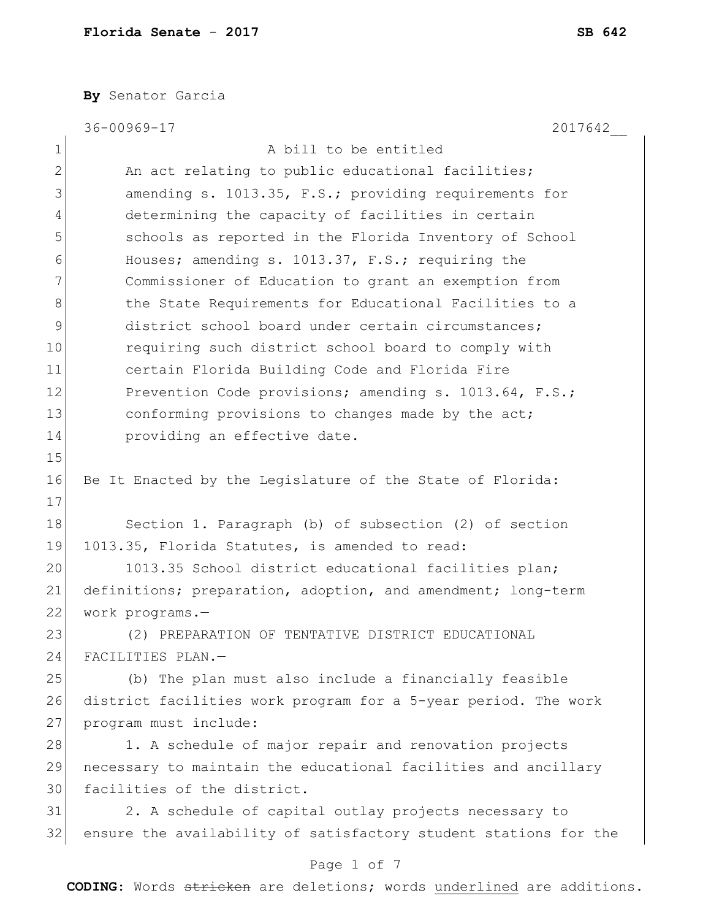**By** Senator Garcia

|             | 36-00969-17<br>2017642                                           |
|-------------|------------------------------------------------------------------|
| $\mathbf 1$ | A bill to be entitled                                            |
| 2           | An act relating to public educational facilities;                |
| 3           | amending s. 1013.35, F.S.; providing requirements for            |
| 4           | determining the capacity of facilities in certain                |
| 5           | schools as reported in the Florida Inventory of School           |
| 6           | Houses; amending s. 1013.37, F.S.; requiring the                 |
| 7           | Commissioner of Education to grant an exemption from             |
| 8           | the State Requirements for Educational Facilities to a           |
| $\mathsf 9$ | district school board under certain circumstances;               |
| 10          | requiring such district school board to comply with              |
| 11          | certain Florida Building Code and Florida Fire                   |
| 12          | Prevention Code provisions; amending s. 1013.64, F.S.;           |
| 13          | conforming provisions to changes made by the act;                |
| 14          | providing an effective date.                                     |
| 15          |                                                                  |
| 16          | Be It Enacted by the Legislature of the State of Florida:        |
| 17          |                                                                  |
| 18          | Section 1. Paragraph (b) of subsection (2) of section            |
| 19          | 1013.35, Florida Statutes, is amended to read:                   |
| 20          | 1013.35 School district educational facilities plan;             |
| 21          | definitions; preparation, adoption, and amendment; long-term     |
| 22          | work programs.-                                                  |
| 23          | (2) PREPARATION OF TENTATIVE DISTRICT EDUCATIONAL                |
| 24          | FACILITIES PLAN.-                                                |
| 25          | (b) The plan must also include a financially feasible            |
| 26          | district facilities work program for a 5-year period. The work   |
| 27          | program must include:                                            |
| 28          | 1. A schedule of major repair and renovation projects            |
| 29          | necessary to maintain the educational facilities and ancillary   |
| 30          | facilities of the district.                                      |
| 31          | 2. A schedule of capital outlay projects necessary to            |
| 32          | ensure the availability of satisfactory student stations for the |
|             | Page 1 of 7                                                      |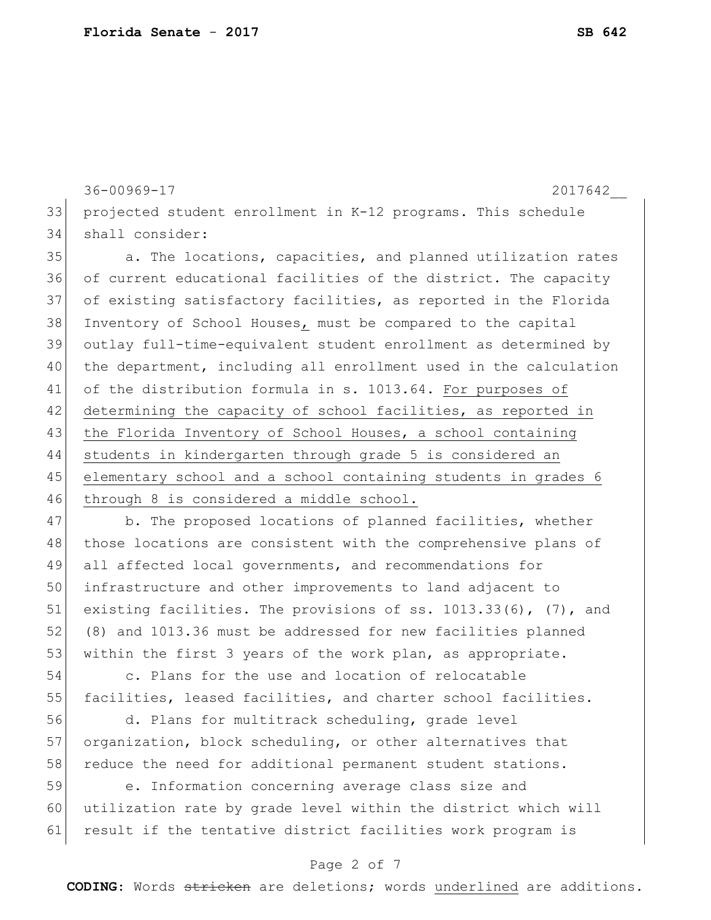```
36-00969-17 2017642__
33 projected student enrollment in K-12 programs. This schedule 
34 shall consider:
```
35 a. The locations, capacities, and planned utilization rates 36 of current educational facilities of the district. The capacity 37 of existing satisfactory facilities, as reported in the Florida 38 Inventory of School Houses, must be compared to the capital 39 outlay full-time-equivalent student enrollment as determined by 40 the department, including all enrollment used in the calculation 41 of the distribution formula in s. 1013.64. For purposes of 42 determining the capacity of school facilities, as reported in 43 the Florida Inventory of School Houses, a school containing 44 students in kindergarten through grade 5 is considered an 45 elementary school and a school containing students in grades 6 46 through 8 is considered a middle school.

47 b. The proposed locations of planned facilities, whether 48 those locations are consistent with the comprehensive plans of 49 all affected local governments, and recommendations for 50 infrastructure and other improvements to land adjacent to 51 existing facilities. The provisions of ss. 1013.33(6), (7), and 52 (8) and 1013.36 must be addressed for new facilities planned 53 within the first 3 years of the work plan, as appropriate.

54 c. Plans for the use and location of relocatable 55 facilities, leased facilities, and charter school facilities.

56 d. Plans for multitrack scheduling, grade level 57 organization, block scheduling, or other alternatives that 58 reduce the need for additional permanent student stations.

59 e. Information concerning average class size and 60 utilization rate by grade level within the district which will 61 result if the tentative district facilities work program is

#### Page 2 of 7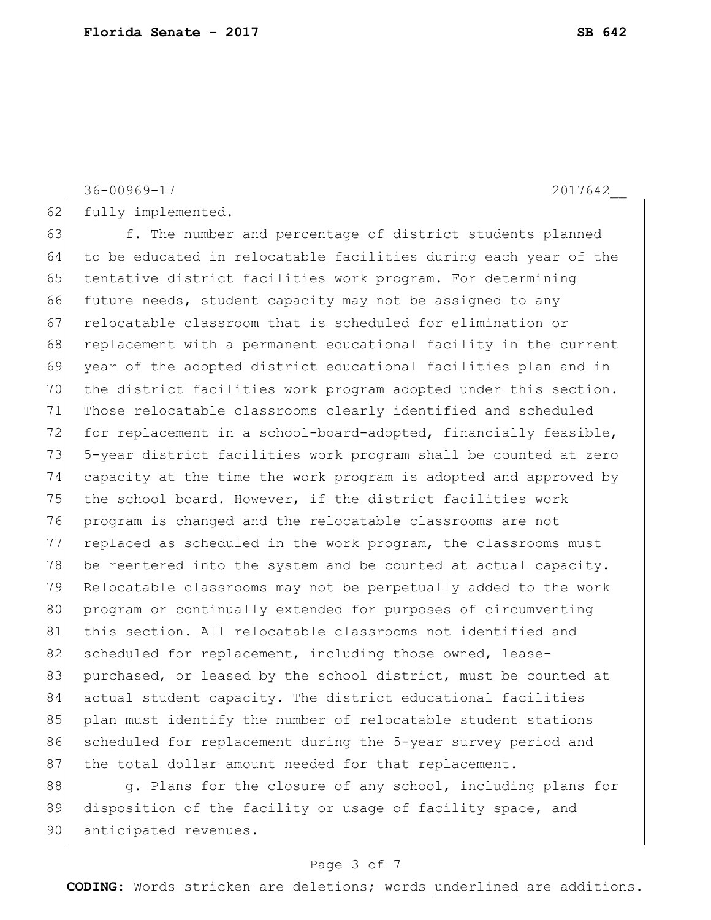36-00969-17 2017642\_\_

62 fully implemented.

63 f. The number and percentage of district students planned 64 to be educated in relocatable facilities during each year of the 65 tentative district facilities work program. For determining 66 future needs, student capacity may not be assigned to any 67 relocatable classroom that is scheduled for elimination or 68 replacement with a permanent educational facility in the current 69 year of the adopted district educational facilities plan and in 70 the district facilities work program adopted under this section. 71 Those relocatable classrooms clearly identified and scheduled 72 for replacement in a school-board-adopted, financially feasible, 73 5-year district facilities work program shall be counted at zero 74 capacity at the time the work program is adopted and approved by 75 the school board. However, if the district facilities work 76 program is changed and the relocatable classrooms are not 77 replaced as scheduled in the work program, the classrooms must 78 be reentered into the system and be counted at actual capacity. 79 Relocatable classrooms may not be perpetually added to the work 80 program or continually extended for purposes of circumventing 81 this section. All relocatable classrooms not identified and 82 scheduled for replacement, including those owned, lease-83 purchased, or leased by the school district, must be counted at 84 actual student capacity. The district educational facilities 85 plan must identify the number of relocatable student stations 86 scheduled for replacement during the 5-year survey period and 87 the total dollar amount needed for that replacement.

88 g. Plans for the closure of any school, including plans for 89 disposition of the facility or usage of facility space, and 90 anticipated revenues.

## Page 3 of 7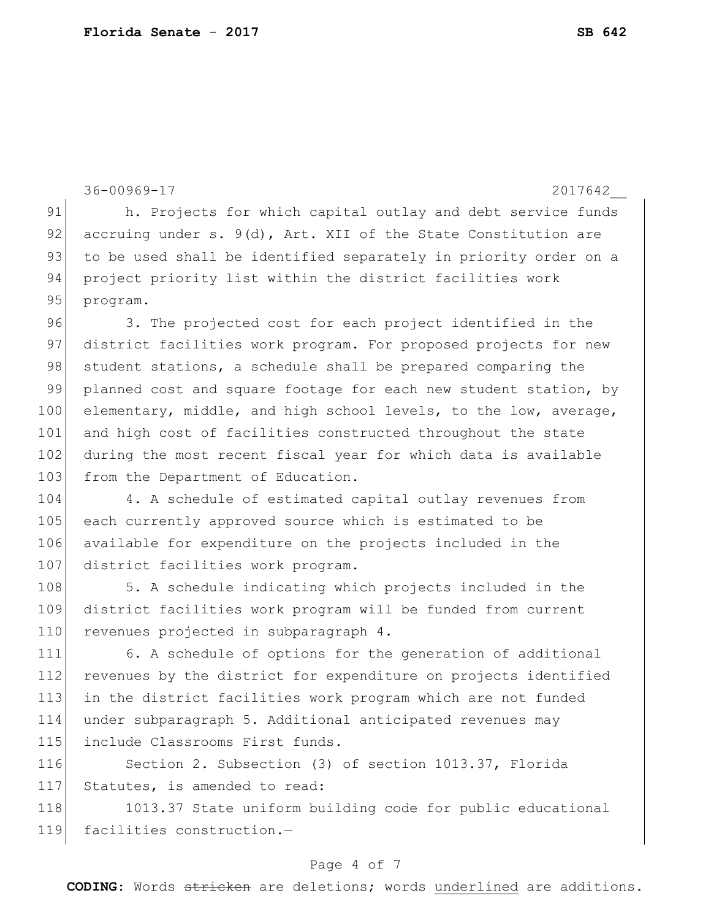```
36-00969-17 2017642__
91 h. Projects for which capital outlay and debt service funds
92 accruing under s. 9(d), Art. XII of the State Constitution are
93 to be used shall be identified separately in priority order on a
94 project priority list within the district facilities work
95 program.
96 3. The projected cost for each project identified in the 
97 district facilities work program. For proposed projects for new
98 student stations, a schedule shall be prepared comparing the
99 planned cost and square footage for each new student station, by
100 elementary, middle, and high school levels, to the low, average,
101 and high cost of facilities constructed throughout the state
102 during the most recent fiscal year for which data is available
103 from the Department of Education.
104 4. A schedule of estimated capital outlay revenues from
105 each currently approved source which is estimated to be 
106 available for expenditure on the projects included in the 
107 district facilities work program.
108 5. A schedule indicating which projects included in the
109 district facilities work program will be funded from current 
110 revenues projected in subparagraph 4.
111 6. A schedule of options for the generation of additional 
112 revenues by the district for expenditure on projects identified 
113 in the district facilities work program which are not funded 
114 under subparagraph 5. Additional anticipated revenues may 
115 include Classrooms First funds.
116 Section 2. Subsection (3) of section 1013.37, Florida
117 Statutes, is amended to read:
118 1013.37 State uniform building code for public educational
119 facilities construction.-
```
### Page 4 of 7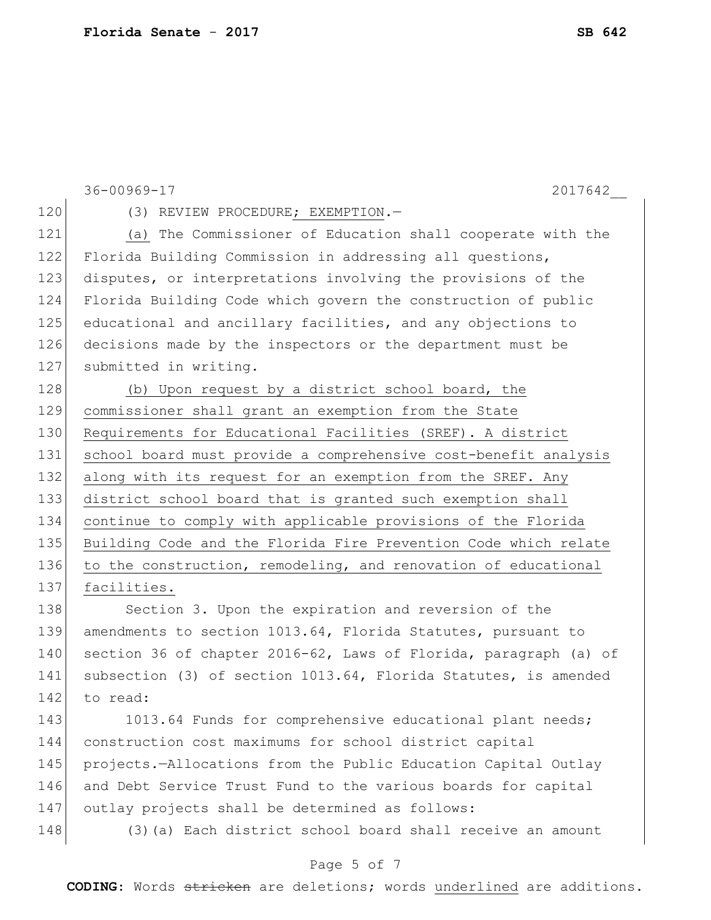36-00969-17 2017642\_\_ 120 (3) REVIEW PROCEDURE; EXEMPTION.-121 (a) The Commissioner of Education shall cooperate with the 122 Florida Building Commission in addressing all questions, 123 disputes, or interpretations involving the provisions of the 124 Florida Building Code which govern the construction of public 125 educational and ancillary facilities, and any objections to 126 decisions made by the inspectors or the department must be 127 submitted in writing. 128 (b) Upon request by a district school board, the 129 commissioner shall grant an exemption from the State 130 Requirements for Educational Facilities (SREF). A district 131 school board must provide a comprehensive cost-benefit analysis 132 along with its request for an exemption from the SREF. Any 133 district school board that is granted such exemption shall 134 continue to comply with applicable provisions of the Florida 135 Building Code and the Florida Fire Prevention Code which relate 136 to the construction, remodeling, and renovation of educational 137 facilities. 138 Section 3. Upon the expiration and reversion of the 139 amendments to section 1013.64, Florida Statutes, pursuant to 140 section 36 of chapter 2016-62, Laws of Florida, paragraph (a) of 141 subsection (3) of section 1013.64, Florida Statutes, is amended 142 to read: 143 1013.64 Funds for comprehensive educational plant needs; 144 construction cost maximums for school district capital 145 projects.—Allocations from the Public Education Capital Outlay 146 and Debt Service Trust Fund to the various boards for capital 147 outlay projects shall be determined as follows: 148 (3) (a) Each district school board shall receive an amount

### Page 5 of 7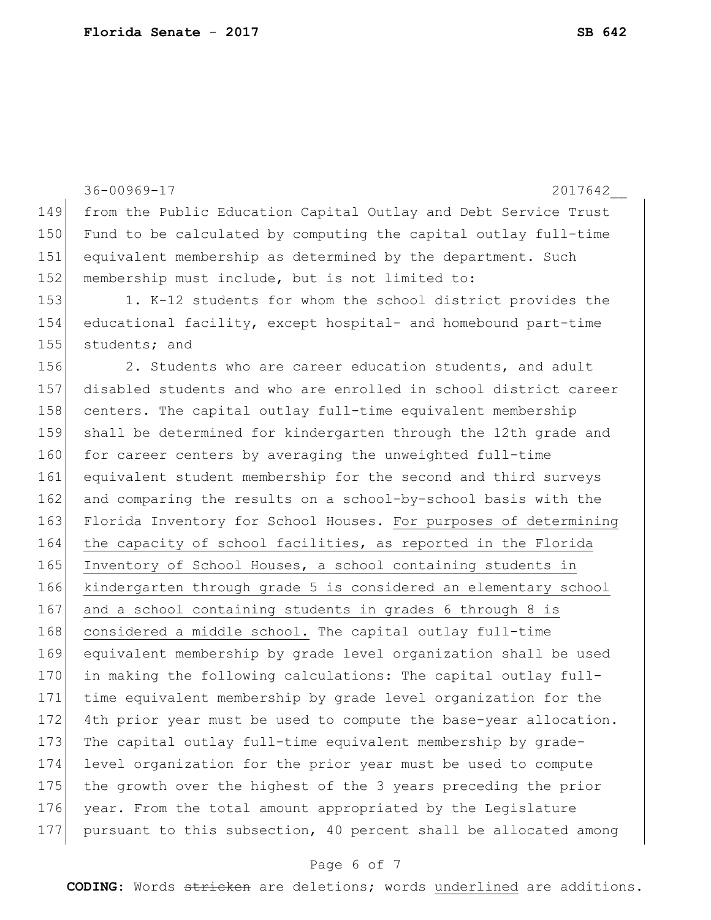| 149 |                                                                  |
|-----|------------------------------------------------------------------|
|     | from the Public Education Capital Outlay and Debt Service Trust  |
| 150 | Fund to be calculated by computing the capital outlay full-time  |
| 151 | equivalent membership as determined by the department. Such      |
| 152 | membership must include, but is not limited to:                  |
| 153 | 1. K-12 students for whom the school district provides the       |
| 154 | educational facility, except hospital- and homebound part-time   |
| 155 | students; and                                                    |
| 156 | 2. Students who are career education students, and adult         |
| 157 | disabled students and who are enrolled in school district career |
| 158 | centers. The capital outlay full-time equivalent membership      |
| 159 | shall be determined for kindergarten through the 12th grade and  |
| 160 | for career centers by averaging the unweighted full-time         |
| 161 | equivalent student membership for the second and third surveys   |
| 162 | and comparing the results on a school-by-school basis with the   |
| 163 | Florida Inventory for School Houses. For purposes of determining |
| 164 | the capacity of school facilities, as reported in the Florida    |
| 165 | Inventory of School Houses, a school containing students in      |
| 166 | kindergarten through grade 5 is considered an elementary school  |
| 167 | and a school containing students in grades 6 through 8 is        |
| 168 | considered a middle school. The capital outlay full-time         |
| 169 | equivalent membership by grade level organization shall be used  |
| 170 | in making the following calculations: The capital outlay full-   |
| 171 | time equivalent membership by grade level organization for the   |
| 172 | 4th prior year must be used to compute the base-year allocation. |
| 173 | The capital outlay full-time equivalent membership by grade-     |
| 174 | level organization for the prior year must be used to compute    |
| 175 | the growth over the highest of the 3 years preceding the prior   |
| 176 | year. From the total amount appropriated by the Legislature      |
| 177 | pursuant to this subsection, 40 percent shall be allocated among |

# Page 6 of 7